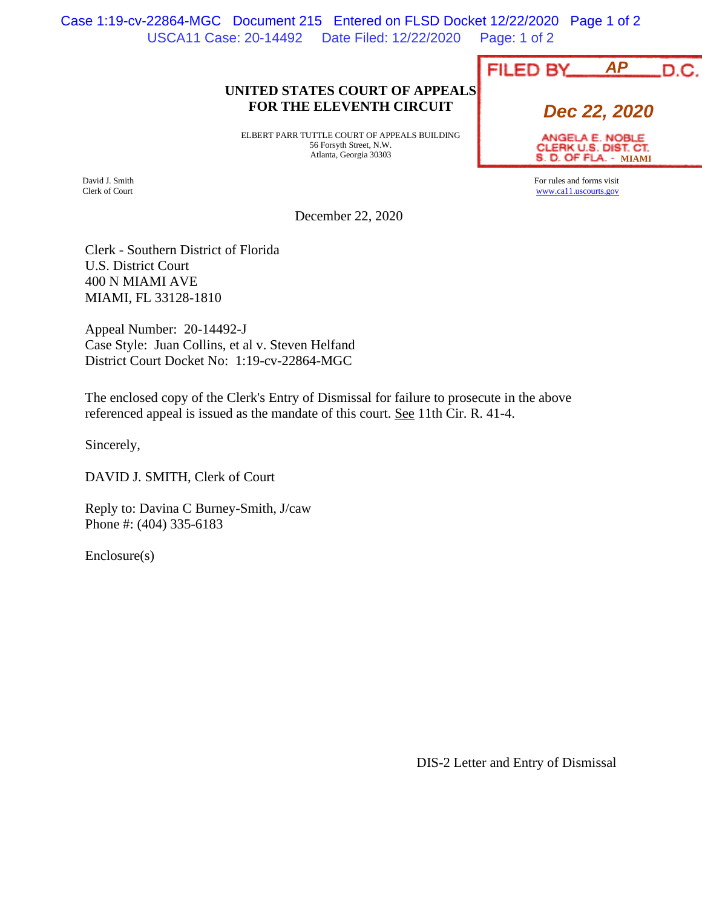USCA11 Case: 20-14492 Date Filed: 12/22/2020 Page: 1 of 2 Case 1:19-cv-22864-MGC Document 215 Entered on FLSD Docket 12/22/2020 Page 1 of 2

## **UNITED STATES COURT OF APPEALS FOR THE ELEVENTH CIRCUIT**

ELBERT PARR TUTTLE COURT OF APPEALS BUILDING 56 Forsyth Street, N.W. Atlanta, Georgia 30303

David J. Smith Clerk of Court

December 22, 2020

Clerk - Southern District of Florida U.S. District Court 400 N MIAMI AVE MIAMI, FL 33128-1810

Appeal Number: 20-14492-J Case Style: Juan Collins, et al v. Steven Helfand District Court Docket No: 1:19-cv-22864-MGC

The enclosed copy of the Clerk's Entry of Dismissal for failure to prosecute in the above referenced appeal is issued as the mandate of this court. See 11th Cir. R. 41-4.

Sincerely,

DAVID J. SMITH, Clerk of Court

Reply to: Davina C Burney-Smith, J/caw Phone #: (404) 335-6183

Enclosure(s)

|  |  |                 | <b>AP</b> |  |      |
|--|--|-----------------|-----------|--|------|
|  |  | <b>FILED BY</b> |           |  | D.C. |
|  |  |                 |           |  |      |
|  |  |                 |           |  |      |

**Dec 22, 2020**

ANGELA E. NOBLE CLERK U.S. DIST. CT. **S. D. OF FLA. - MIAMI** 

For rules and forms visit www.ca11.uscourts.gov

DIS-2 Letter and Entry of Dismissal